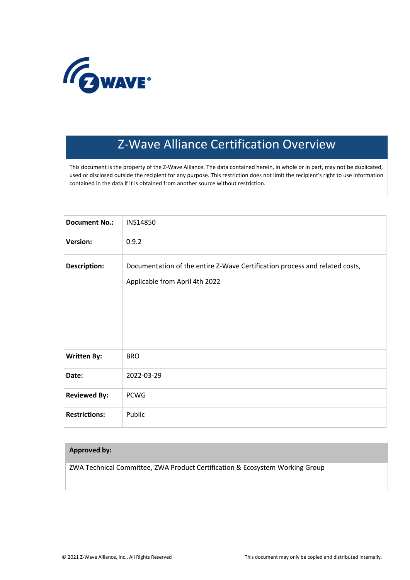

# Z-Wave Alliance Certification Overview

This document is the property of the Z-Wave Alliance. The data contained herein, in whole or in part, may not be duplicated, used or disclosed outside the recipient for any purpose. This restriction does not limit the recipient's right to use information contained in the data if it is obtained from another source without restriction.

| <b>Document No.:</b> | INS14850                                                                                                      |
|----------------------|---------------------------------------------------------------------------------------------------------------|
| <b>Version:</b>      | 0.9.2                                                                                                         |
| <b>Description:</b>  | Documentation of the entire Z-Wave Certification process and related costs,<br>Applicable from April 4th 2022 |
| <b>Written By:</b>   | <b>BRO</b>                                                                                                    |
| Date:                | 2022-03-29                                                                                                    |
| <b>Reviewed By:</b>  | <b>PCWG</b>                                                                                                   |
| <b>Restrictions:</b> | Public                                                                                                        |

# **Approved by:**

ZWA Technical Committee, ZWA Product Certification & Ecosystem Working Group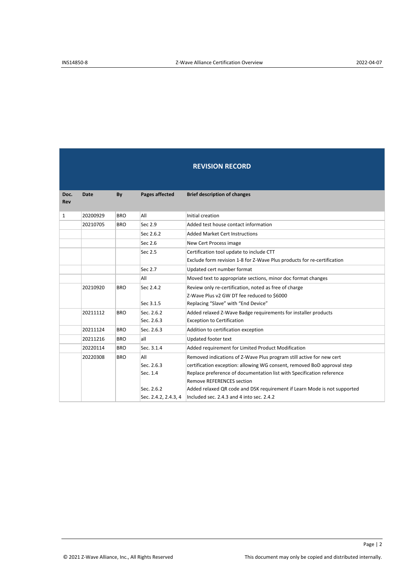|             | <b>REVISION RECORD</b> |            |                                                                     |                                                                                                                                                                                                                                                                                                                                                                                       |  |
|-------------|------------------------|------------|---------------------------------------------------------------------|---------------------------------------------------------------------------------------------------------------------------------------------------------------------------------------------------------------------------------------------------------------------------------------------------------------------------------------------------------------------------------------|--|
| Doc.<br>Rev | <b>Date</b>            | By         | Pages affected                                                      | <b>Brief description of changes</b>                                                                                                                                                                                                                                                                                                                                                   |  |
| 1           | 20200929               | <b>BRO</b> | All                                                                 | Initial creation                                                                                                                                                                                                                                                                                                                                                                      |  |
|             | 20210705               | <b>BRO</b> | Sec 2.9                                                             | Added test house contact information                                                                                                                                                                                                                                                                                                                                                  |  |
|             |                        |            | Sec 2.6.2                                                           | <b>Added Market Cert Instructions</b>                                                                                                                                                                                                                                                                                                                                                 |  |
|             |                        |            | Sec 2.6                                                             | New Cert Process image                                                                                                                                                                                                                                                                                                                                                                |  |
|             |                        |            | Sec 2.5                                                             | Certification tool update to include CTT<br>Exclude form revision 1-8 for Z-Wave Plus products for re-certification                                                                                                                                                                                                                                                                   |  |
|             |                        |            | Sec 2.7                                                             | Updated cert number format                                                                                                                                                                                                                                                                                                                                                            |  |
|             |                        |            | All                                                                 | Moved text to appropriate sections, minor doc format changes                                                                                                                                                                                                                                                                                                                          |  |
|             | 20210920               | <b>BRO</b> | Sec 2.4.2<br>Sec 3.1.5                                              | Review only re-certification, noted as free of charge<br>Z-Wave Plus v2 GW DT fee reduced to \$6000<br>Replacing "Slave" with "End Device"                                                                                                                                                                                                                                            |  |
|             | 20211112               | <b>BRO</b> | Sec. 2.6.2<br>Sec. 2.6.3                                            | Added relaxed Z-Wave Badge requirements for installer products<br><b>Exception to Certification</b>                                                                                                                                                                                                                                                                                   |  |
|             | 20211124               | <b>BRO</b> | Sec. 2.6.3                                                          | Addition to certification exception                                                                                                                                                                                                                                                                                                                                                   |  |
|             | 20211216               | <b>BRO</b> | all                                                                 | Updated footer text                                                                                                                                                                                                                                                                                                                                                                   |  |
|             | 20220114               | <b>BRO</b> | Sec. 3.1.4                                                          | Added requirement for Limited Product Modification                                                                                                                                                                                                                                                                                                                                    |  |
|             | 20220308               | <b>BRO</b> | All<br>Sec. 2.6.3<br>Sec. 1.4<br>Sec. 2.6.2<br>Sec. 2.4.2, 2.4.3, 4 | Removed indications of Z-Wave Plus program still active for new cert<br>certification exception: allowing WG consent, removed BoD approval step<br>Replace preference of documentation list with Specification reference<br><b>Remove REFERENCES section</b><br>Added relaxed QR code and DSK requirement if Learn Mode is not supported<br>Included sec. 2.4.3 and 4 into sec. 2.4.2 |  |

Page | 2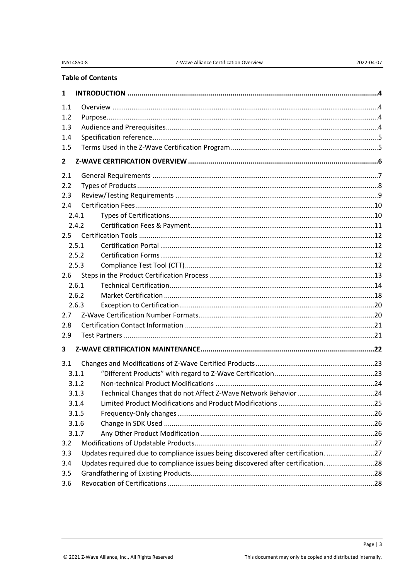# **Table of Contents**

| 1            |                                                                                    |  |
|--------------|------------------------------------------------------------------------------------|--|
| 1.1          |                                                                                    |  |
| 1.2          |                                                                                    |  |
| 1.3          |                                                                                    |  |
| 1.4          |                                                                                    |  |
| 1.5          |                                                                                    |  |
| $\mathbf{2}$ |                                                                                    |  |
| 2.1          |                                                                                    |  |
| 2.2          |                                                                                    |  |
| 2.3          |                                                                                    |  |
| 2.4          |                                                                                    |  |
| 2.4.1        |                                                                                    |  |
| 2.4.2        |                                                                                    |  |
| 2.5          |                                                                                    |  |
| 2.5.1        |                                                                                    |  |
| 2.5.2        |                                                                                    |  |
| 2.5.3        |                                                                                    |  |
| 2.6          |                                                                                    |  |
| 2.6.1        |                                                                                    |  |
| 2.6.2        |                                                                                    |  |
| 2.6.3        |                                                                                    |  |
| 2.7          |                                                                                    |  |
| 2.8          |                                                                                    |  |
| 2.9          |                                                                                    |  |
| 3            |                                                                                    |  |
| 3.1          |                                                                                    |  |
| 3.1.1        |                                                                                    |  |
| 3.1.2        |                                                                                    |  |
| 3.1.3        |                                                                                    |  |
| 3.1.4        |                                                                                    |  |
| 3.1.5        |                                                                                    |  |
| 3.1.6        |                                                                                    |  |
| 3.1.7        |                                                                                    |  |
| 3.2          |                                                                                    |  |
| 3.3          | Updates required due to compliance issues being discovered after certification. 27 |  |
| 3.4          | Updates required due to compliance issues being discovered after certification. 28 |  |
| 3.5          |                                                                                    |  |
| 3.6          |                                                                                    |  |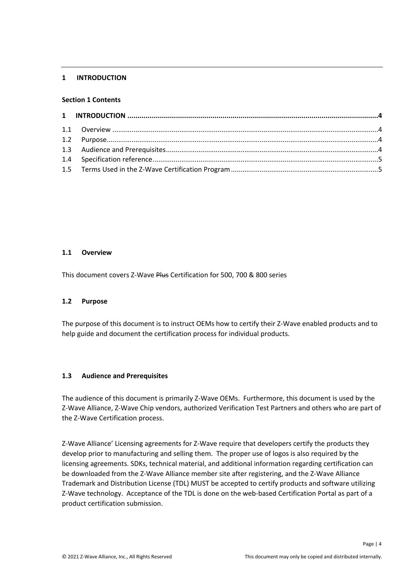#### <span id="page-3-0"></span>**1 INTRODUCTION**

#### **Section 1 Contents**

#### <span id="page-3-1"></span>**1.1 Overview**

This document covers Z-Wave Plus Certification for 500, 700 & 800 series

#### <span id="page-3-2"></span>**1.2 Purpose**

The purpose of this document is to instruct OEMs how to certify their Z-Wave enabled products and to help guide and document the certification process for individual products.

#### <span id="page-3-3"></span>**1.3 Audience and Prerequisites**

The audience of this document is primarily Z-Wave OEMs. Furthermore, this document is used by the Z-Wave Alliance, Z-Wave Chip vendors, authorized Verification Test Partners and others who are part of the Z-Wave Certification process.

Z-Wave Alliance' Licensing agreements for Z-Wave require that developers certify the products they develop prior to manufacturing and selling them. The proper use of logos is also required by the licensing agreements. SDKs, technical material, and additional information regarding certification can be downloaded from the Z-Wave Alliance member site after registering, and the Z-Wave Alliance Trademark and Distribution License (TDL) MUST be accepted to certify products and software utilizing Z-Wave technology. Acceptance of the TDL is done on the web-based Certification Portal as part of a product certification submission.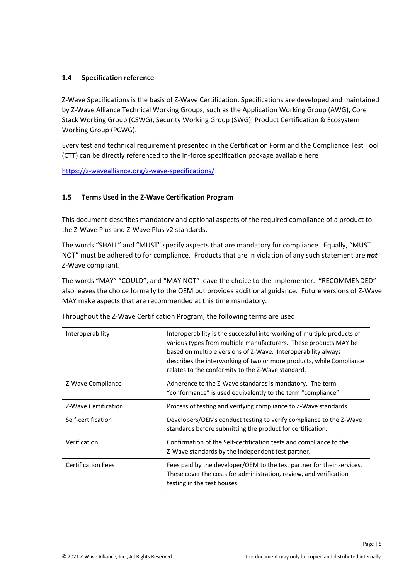# <span id="page-4-0"></span>**1.4 Specification reference**

Z-Wave Specifications is the basis of Z-Wave Certification. Specifications are developed and maintained by Z-Wave Alliance Technical Working Groups, such as the Application Working Group (AWG), Core Stack Working Group (CSWG), Security Working Group (SWG), Product Certification & Ecosystem Working Group (PCWG).

Every test and technical requirement presented in the Certification Form and the Compliance Test Tool (CTT) can be directly referenced to the in-force specification package available here

<https://z-wavealliance.org/z-wave-specifications/>

# <span id="page-4-1"></span>**1.5 Terms Used in the Z-Wave Certification Program**

This document describes mandatory and optional aspects of the required compliance of a product to the Z-Wave Plus and Z-Wave Plus v2 standards.

The words "SHALL" and "MUST" specify aspects that are mandatory for compliance. Equally, "MUST NOT" must be adhered to for compliance. Products that are in violation of any such statement are *not* Z-Wave compliant.

The words "MAY" "COULD", and "MAY NOT" leave the choice to the implementer. "RECOMMENDED" also leaves the choice formally to the OEM but provides additional guidance. Future versions of Z-Wave MAY make aspects that are recommended at this time mandatory.

| Interoperability          | Interoperability is the successful interworking of multiple products of<br>various types from multiple manufacturers. These products MAY be<br>based on multiple versions of Z-Wave. Interoperability always<br>describes the interworking of two or more products, while Compliance<br>relates to the conformity to the Z-Wave standard. |
|---------------------------|-------------------------------------------------------------------------------------------------------------------------------------------------------------------------------------------------------------------------------------------------------------------------------------------------------------------------------------------|
| Z-Wave Compliance         | Adherence to the Z-Wave standards is mandatory. The term<br>"conformance" is used equivalently to the term "compliance"                                                                                                                                                                                                                   |
| Z-Wave Certification      | Process of testing and verifying compliance to Z-Wave standards.                                                                                                                                                                                                                                                                          |
| Self-certification        | Developers/OEMs conduct testing to verify compliance to the Z-Wave<br>standards before submitting the product for certification.                                                                                                                                                                                                          |
| Verification              | Confirmation of the Self-certification tests and compliance to the<br>Z-Wave standards by the independent test partner.                                                                                                                                                                                                                   |
| <b>Certification Fees</b> | Fees paid by the developer/OEM to the test partner for their services.<br>These cover the costs for administration, review, and verification<br>testing in the test houses.                                                                                                                                                               |

Throughout the Z-Wave Certification Program, the following terms are used:

Page | 5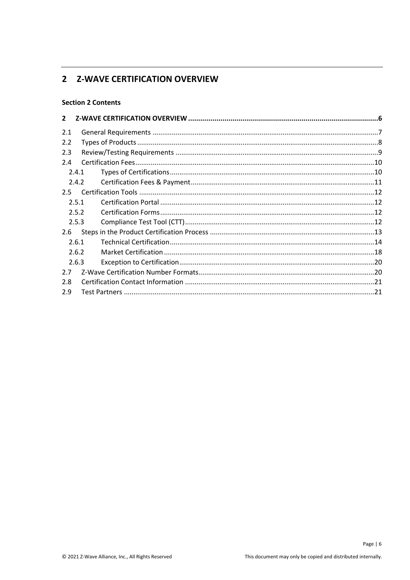# <span id="page-5-0"></span>2 Z-WAVE CERTIFICATION OVERVIEW

# **Section 2 Contents**

| $\overline{2}$ |       |  |
|----------------|-------|--|
| 2.1            |       |  |
| 2.2            |       |  |
| 2.3            |       |  |
| 2.4            |       |  |
|                | 2.4.1 |  |
|                | 2.4.2 |  |
| 2.5            |       |  |
|                | 2.5.1 |  |
|                | 2.5.2 |  |
|                | 2.5.3 |  |
| 2.6            |       |  |
|                | 2.6.1 |  |
|                | 2.6.2 |  |
|                | 2.6.3 |  |
| 2.7            |       |  |
| 2.8            |       |  |
| 2.9            |       |  |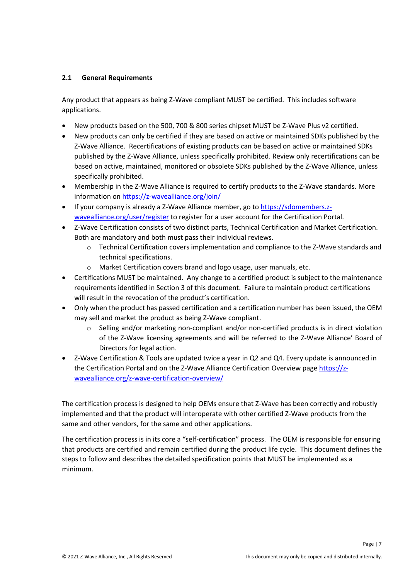# <span id="page-6-0"></span>**2.1 General Requirements**

Any product that appears as being Z-Wave compliant MUST be certified. This includes software applications.

- New products based on the 500, 700 & 800 series chipset MUST be Z-Wave Plus v2 certified.
- New products can only be certified if they are based on active or maintained SDKs published by the Z-Wave Alliance. Recertifications of existing products can be based on active or maintained SDKs published by the Z-Wave Alliance, unless specifically prohibited. Review only recertifications can be based on active, maintained, monitored or obsolete SDKs published by the Z-Wave Alliance, unless specifically prohibited.
- Membership in the Z-Wave Alliance is required to certify products to the Z-Wave standards. More information on <https://z-wavealliance.org/join/>
- If your company is already a Z-Wave Alliance member, go to [https://sdomembers.z](https://sdomembers.z-wavealliance.org/user/register)[wavealliance.org/user/register](https://sdomembers.z-wavealliance.org/user/register) to register for a user account for the Certification Portal.
- Z-Wave Certification consists of two distinct parts, Technical Certification and Market Certification. Both are mandatory and both must pass their individual reviews.
	- o Technical Certification covers implementation and compliance to the Z-Wave standards and technical specifications.
	- o Market Certification covers brand and logo usage, user manuals, etc.
- Certifications MUST be maintained. Any change to a certified product is subject to the maintenance requirements identified in Section 3 of this document. Failure to maintain product certifications will result in the revocation of the product's certification.
- Only when the product has passed certification and a certification number has been issued, the OEM may sell and market the product as being Z-Wave compliant.
	- $\circ$  Selling and/or marketing non-compliant and/or non-certified products is in direct violation of the Z-Wave licensing agreements and will be referred to the Z-Wave Alliance' Board of Directors for legal action.
- Z-Wave Certification & Tools are updated twice a year in Q2 and Q4. Every update is announced in the Certification Portal and on the Z-Wave Alliance Certification Overview page [https://z](https://z-wavealliance.org/z-wave-certification-overview/)[wavealliance.org/z-wave-certification-overview/](https://z-wavealliance.org/z-wave-certification-overview/)

The certification process is designed to help OEMs ensure that Z-Wave has been correctly and robustly implemented and that the product will interoperate with other certified Z-Wave products from the same and other vendors, for the same and other applications.

The certification process is in its core a "self-certification" process. The OEM is responsible for ensuring that products are certified and remain certified during the product life cycle. This document defines the steps to follow and describes the detailed specification points that MUST be implemented as a minimum.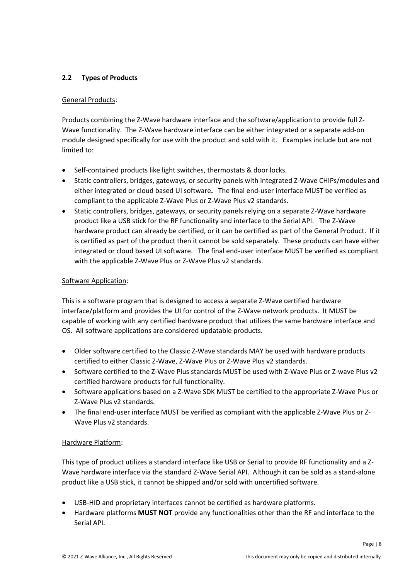# <span id="page-7-0"></span>**2.2 Types of Products**

### General Products:

Products combining the Z-Wave hardware interface and the software/application to provide full Z-Wave functionality. The Z-Wave hardware interface can be either integrated or a separate add-on module designed specifically for use with the product and sold with it. Examples include but are not limited to:

- Self-contained products like light switches, thermostats & door locks.
- Static controllers, bridges, gateways, or security panels with integrated Z-Wave CHIPs/modules and either integrated or cloud based UI software**.** The final end-user interface MUST be verified as compliant to the applicable Z-Wave Plus or Z-Wave Plus v2 standards.
- Static controllers, bridges, gateways, or security panels relying on a separate Z-Wave hardware product like a USB stick for the RF functionality and interface to the Serial API. The Z-Wave hardware product can already be certified, or it can be certified as part of the General Product. If it is certified as part of the product then it cannot be sold separately. These products can have either integrated or cloud based UI software. The final end-user interface MUST be verified as compliant with the applicable Z-Wave Plus or Z-Wave Plus v2 standards.

### Software Application:

This is a software program that is designed to access a separate Z-Wave certified hardware interface/platform and provides the UI for control of the Z-Wave network products. It MUST be capable of working with any certified hardware product that utilizes the same hardware interface and OS. All software applications are considered updatable products.

- Older software certified to the Classic Z-Wave standards MAY be used with hardware products certified to either Classic Z-Wave, Z-Wave Plus or Z-Wave Plus v2 standards.
- Software certified to the Z-Wave Plus standards MUST be used with Z-Wave Plus or Z-wave Plus v2 certified hardware products for full functionality.
- Software applications based on a Z-Wave SDK MUST be certified to the appropriate Z-Wave Plus or Z-Wave Plus v2 standards.
- The final end-user interface MUST be verified as compliant with the applicable Z-Wave Plus or Z-Wave Plus v2 standards.

# Hardware Platform:

This type of product utilizes a standard interface like USB or Serial to provide RF functionality and a Z-Wave hardware interface via the standard Z-Wave Serial API. Although it can be sold as a stand-alone product like a USB stick, it cannot be shipped and/or sold with uncertified software.

- USB-HID and proprietary interfaces cannot be certified as hardware platforms.
- Hardware platforms **MUST NOT** provide any functionalities other than the RF and interface to the Serial API.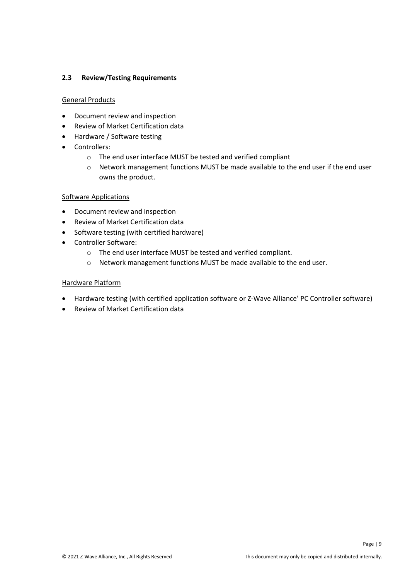# <span id="page-8-0"></span>**2.3 Review/Testing Requirements**

#### General Products

- Document review and inspection
- Review of Market Certification data
- Hardware / Software testing
- Controllers:
	- o The end user interface MUST be tested and verified compliant
	- o Network management functions MUST be made available to the end user if the end user owns the product.

#### Software Applications

- Document review and inspection
- Review of Market Certification data
- Software testing (with certified hardware)
- Controller Software:
	- o The end user interface MUST be tested and verified compliant.
	- o Network management functions MUST be made available to the end user.

#### Hardware Platform

- Hardware testing (with certified application software or Z-Wave Alliance' PC Controller software)
- Review of Market Certification data

Page | 9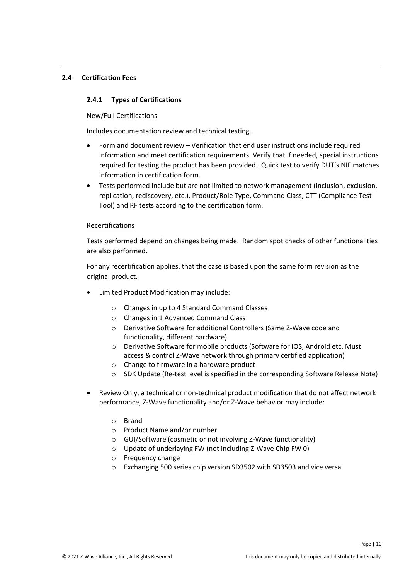#### <span id="page-9-0"></span>**2.4 Certification Fees**

### <span id="page-9-1"></span>**2.4.1 Types of Certifications**

#### New/Full Certifications

Includes documentation review and technical testing.

- Form and document review Verification that end user instructions include required information and meet certification requirements. Verify that if needed, special instructions required for testing the product has been provided. Quick test to verify DUT's NIF matches information in certification form.
- Tests performed include but are not limited to network management (inclusion, exclusion, replication, rediscovery, etc.), Product/Role Type, Command Class, CTT (Compliance Test Tool) and RF tests according to the certification form.

### Recertifications

Tests performed depend on changes being made. Random spot checks of other functionalities are also performed.

For any recertification applies, that the case is based upon the same form revision as the original product.

- Limited Product Modification may include:
	- o Changes in up to 4 Standard Command Classes
	- o Changes in 1 Advanced Command Class
	- o Derivative Software for additional Controllers (Same Z-Wave code and functionality, different hardware)
	- o Derivative Software for mobile products (Software for IOS, Android etc. Must access & control Z-Wave network through primary certified application)
	- o Change to firmware in a hardware product
	- o SDK Update (Re-test level is specified in the corresponding Software Release Note)
- Review Only, a technical or non-technical product modification that do not affect network performance, Z-Wave functionality and/or Z-Wave behavior may include:
	- o Brand
	- o Product Name and/or number
	- o GUI/Software (cosmetic or not involving Z-Wave functionality)
	- o Update of underlaying FW (not including Z-Wave Chip FW 0)
	- o Frequency change
	- o Exchanging 500 series chip version SD3502 with SD3503 and vice versa.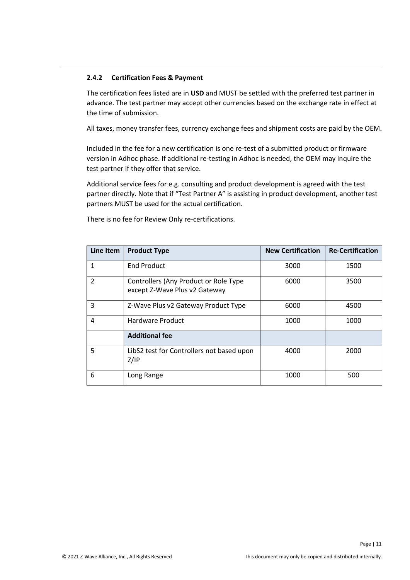### <span id="page-10-0"></span>**2.4.2 Certification Fees & Payment**

The certification fees listed are in **USD** and MUST be settled with the preferred test partner in advance. The test partner may accept other currencies based on the exchange rate in effect at the time of submission.

All taxes, money transfer fees, currency exchange fees and shipment costs are paid by the OEM.

Included in the fee for a new certification is one re-test of a submitted product or firmware version in Adhoc phase. If additional re-testing in Adhoc is needed, the OEM may inquire the test partner if they offer that service.

Additional service fees for e.g. consulting and product development is agreed with the test partner directly. Note that if "Test Partner A" is assisting in product development, another test partners MUST be used for the actual certification.

| Line Item     | <b>Product Type</b>                                                    | <b>New Certification</b> | <b>Re-Certification</b> |
|---------------|------------------------------------------------------------------------|--------------------------|-------------------------|
| 1             | <b>End Product</b>                                                     | 3000                     | 1500                    |
| $\mathcal{P}$ | Controllers (Any Product or Role Type<br>except Z-Wave Plus v2 Gateway | 6000                     | 3500                    |
| 3             | Z-Wave Plus v2 Gateway Product Type                                    | 6000                     | 4500                    |
| 4             | Hardware Product                                                       | 1000                     | 1000                    |
|               | <b>Additional fee</b>                                                  |                          |                         |
| 5             | LibS2 test for Controllers not based upon<br>Z/IP                      | 4000                     | 2000                    |
| 6             | Long Range                                                             | 1000                     | 500                     |

There is no fee for Review Only re-certifications.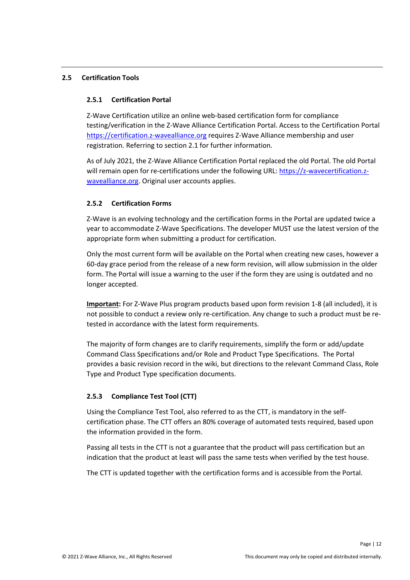### <span id="page-11-0"></span>**2.5 Certification Tools**

#### <span id="page-11-1"></span>**2.5.1 Certification Portal**

Z-Wave Certification utilize an online web-based certification form for compliance testing/verification in the Z-Wave Alliance Certification Portal. Access to the Certification Portal [https://certification.z-wavealliance.org](https://certification.z-wavealliance.org/) requires Z-Wave Alliance membership and user registration. Referring to section 2.1 for further information.

As of July 2021, the Z-Wave Alliance Certification Portal replaced the old Portal. The old Portal will remain open for re-certifications under the following URL: [https://z-wavecertification.z](https://z-wavecertification.z-wavealliance.org/)[wavealliance.org](https://z-wavecertification.z-wavealliance.org/). Original user accounts applies.

### <span id="page-11-2"></span>**2.5.2 Certification Forms**

Z-Wave is an evolving technology and the certification forms in the Portal are updated twice a year to accommodate Z-Wave Specifications. The developer MUST use the latest version of the appropriate form when submitting a product for certification.

Only the most current form will be available on the Portal when creating new cases, however a 60-day grace period from the release of a new form revision, will allow submission in the older form. The Portal will issue a warning to the user if the form they are using is outdated and no longer accepted.

**Important:** For Z-Wave Plus program products based upon form revision 1-8 (all included), it is not possible to conduct a review only re-certification. Any change to such a product must be retested in accordance with the latest form requirements.

The majority of form changes are to clarify requirements, simplify the form or add/update Command Class Specifications and/or Role and Product Type Specifications. The Portal provides a basic revision record in the wiki, but directions to the relevant Command Class, Role Type and Product Type specification documents.

# <span id="page-11-3"></span>**2.5.3 Compliance Test Tool (CTT)**

Using the Compliance Test Tool, also referred to as the CTT, is mandatory in the selfcertification phase. The CTT offers an 80% coverage of automated tests required, based upon the information provided in the form.

Passing all tests in the CTT is not a guarantee that the product will pass certification but an indication that the product at least will pass the same tests when verified by the test house.

The CTT is updated together with the certification forms and is accessible from the Portal.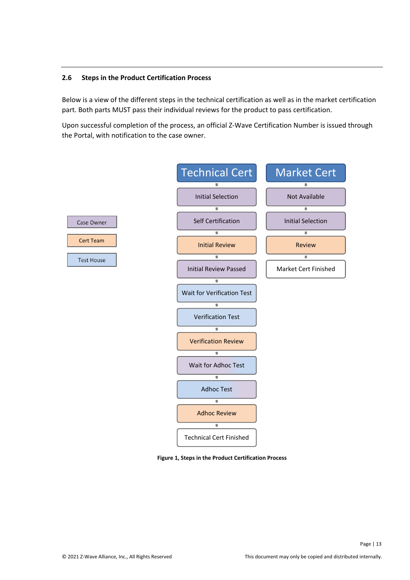#### <span id="page-12-0"></span>**2.6 Steps in the Product Certification Process**

Below is a view of the different steps in the technical certification as well as in the market certification part. Both parts MUST pass their individual reviews for the product to pass certification.

Upon successful completion of the process, an official Z-Wave Certification Number is issued through the Portal, with notification to the case owner.



**Figure 1, Steps in the Product Certification Process**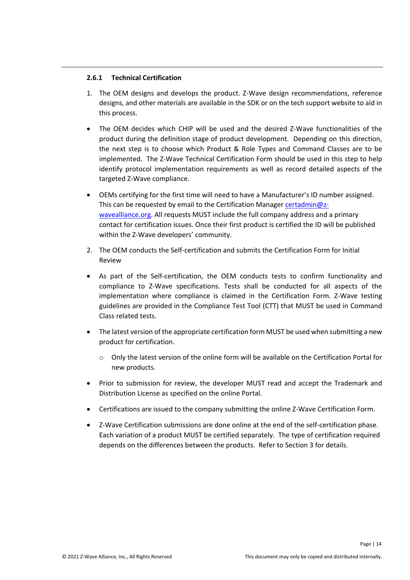#### <span id="page-13-0"></span>**2.6.1 Technical Certification**

- 1. The OEM designs and develops the product. Z-Wave design recommendations, reference designs, and other materials are available in the SDK or on the tech support website to aid in this process.
- The OEM decides which CHIP will be used and the desired Z-Wave functionalities of the product during the definition stage of product development. Depending on this direction, the next step is to choose which Product & Role Types and Command Classes are to be implemented. The Z-Wave Technical Certification Form should be used in this step to help identify protocol implementation requirements as well as record detailed aspects of the targeted Z-Wave compliance.
- OEMs certifying for the first time will need to have a Manufacturer's ID number assigned. This can be requested by email to the Certification Manager [certadmin@z](mailto:certadmin@z-wavealliance.org)[wavealliance.org](mailto:certadmin@z-wavealliance.org). All requests MUST include the full company address and a primary contact for certification issues. Once their first product is certified the ID will be published within the Z-Wave developers' community.
- 2. The OEM conducts the Self-certification and submits the Certification Form for Initial Review
- As part of the Self-certification, the OEM conducts tests to confirm functionality and compliance to Z-Wave specifications. Tests shall be conducted for all aspects of the implementation where compliance is claimed in the Certification Form. Z-Wave testing guidelines are provided in the Compliance Test Tool (CTT) that MUST be used in Command Class related tests.
- The latest version of the appropriate certification form MUST be used when submitting a new product for certification.
	- o Only the latest version of the online form will be available on the Certification Portal for new products.
- Prior to submission for review, the developer MUST read and accept the Trademark and Distribution License as specified on the online Portal.
- Certifications are issued to the company submitting the online Z-Wave Certification Form.
- Z-Wave Certification submissions are done online at the end of the self-certification phase. Each variation of a product MUST be certified separately. The type of certification required depends on the differences between the products. Refer to Section 3 for details.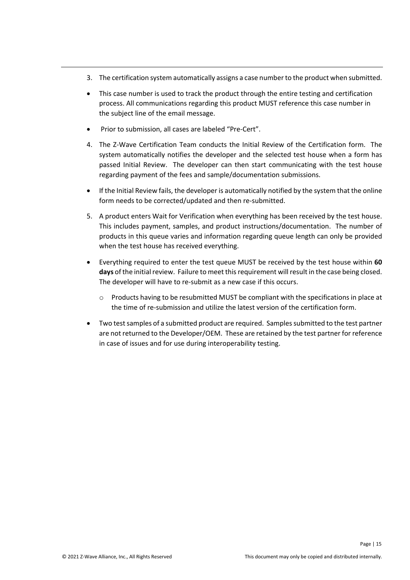- 3. The certification system automatically assigns a case number to the product when submitted.
- This case number is used to track the product through the entire testing and certification process. All communications regarding this product MUST reference this case number in the subject line of the email message.
- Prior to submission, all cases are labeled "Pre-Cert".
- 4. The Z-Wave Certification Team conducts the Initial Review of the Certification form. The system automatically notifies the developer and the selected test house when a form has passed Initial Review. The developer can then start communicating with the test house regarding payment of the fees and sample/documentation submissions.
- If the Initial Review fails, the developer is automatically notified by the system that the online form needs to be corrected/updated and then re-submitted.
- 5. A product enters Wait for Verification when everything has been received by the test house. This includes payment, samples, and product instructions/documentation. The number of products in this queue varies and information regarding queue length can only be provided when the test house has received everything.
- Everything required to enter the test queue MUST be received by the test house within **60 days** of the initial review. Failure to meet this requirement will result in the case being closed. The developer will have to re-submit as a new case if this occurs.
	- $\circ$  Products having to be resubmitted MUST be compliant with the specifications in place at the time of re-submission and utilize the latest version of the certification form.
- Two test samples of a submitted product are required. Samples submitted to the test partner are not returned to the Developer/OEM. These are retained by the test partner for reference in case of issues and for use during interoperability testing.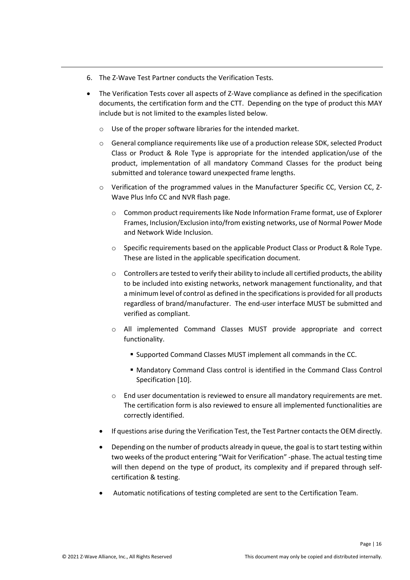- 6. The Z-Wave Test Partner conducts the Verification Tests.
- The Verification Tests cover all aspects of Z-Wave compliance as defined in the specification documents, the certification form and the CTT. Depending on the type of product this MAY include but is not limited to the examples listed below.
	- o Use of the proper software libraries for the intended market.
	- o General compliance requirements like use of a production release SDK, selected Product Class or Product & Role Type is appropriate for the intended application/use of the product, implementation of all mandatory Command Classes for the product being submitted and tolerance toward unexpected frame lengths.
	- $\circ$  Verification of the programmed values in the Manufacturer Specific CC, Version CC, Z-Wave Plus Info CC and NVR flash page.
		- o Common product requirements like Node Information Frame format, use of Explorer Frames, Inclusion/Exclusion into/from existing networks, use of Normal Power Mode and Network Wide Inclusion.
		- $\circ$  Specific requirements based on the applicable Product Class or Product & Role Type. These are listed in the applicable specification document.
		- $\circ$  Controllers are tested to verify their ability to include all certified products, the ability to be included into existing networks, network management functionality, and that a minimum level of control as defined in the specifications is provided for all products regardless of brand/manufacturer. The end-user interface MUST be submitted and verified as compliant.
		- o All implemented Command Classes MUST provide appropriate and correct functionality.
			- Supported Command Classes MUST implement all commands in the CC.
			- Mandatory Command Class control is identified in the Command Class Control Specification [10].
		- o End user documentation is reviewed to ensure all mandatory requirements are met. The certification form is also reviewed to ensure all implemented functionalities are correctly identified.
	- If questions arise during the Verification Test, the Test Partner contacts the OEM directly.
	- Depending on the number of products already in queue, the goal is to start testing within two weeks of the product entering "Wait for Verification" -phase. The actual testing time will then depend on the type of product, its complexity and if prepared through selfcertification & testing.
	- Automatic notifications of testing completed are sent to the Certification Team.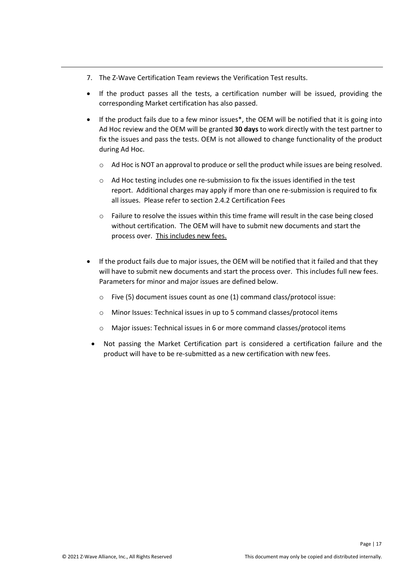- 7. The Z-Wave Certification Team reviews the Verification Test results.
- If the product passes all the tests, a certification number will be issued, providing the corresponding Market certification has also passed.
- If the product fails due to a few minor issues\*, the OEM will be notified that it is going into Ad Hoc review and the OEM will be granted **30 days** to work directly with the test partner to fix the issues and pass the tests. OEM is not allowed to change functionality of the product during Ad Hoc.
	- $\circ$  Ad Hoc is NOT an approval to produce or sell the product while issues are being resolved.
	- $\circ$  Ad Hoc testing includes one re-submission to fix the issues identified in the test report. Additional charges may apply if more than one re-submission is required to fix all issues. Please refer to section 2.4.2 Certification Fees
	- $\circ$  Failure to resolve the issues within this time frame will result in the case being closed without certification. The OEM will have to submit new documents and start the process over. This includes new fees.
- If the product fails due to major issues, the OEM will be notified that it failed and that they will have to submit new documents and start the process over. This includes full new fees. Parameters for minor and major issues are defined below.
	- o Five (5) document issues count as one (1) command class/protocol issue:
	- o Minor Issues: Technical issues in up to 5 command classes/protocol items
	- o Major issues: Technical issues in 6 or more command classes/protocol items
- Not passing the Market Certification part is considered a certification failure and the product will have to be re-submitted as a new certification with new fees.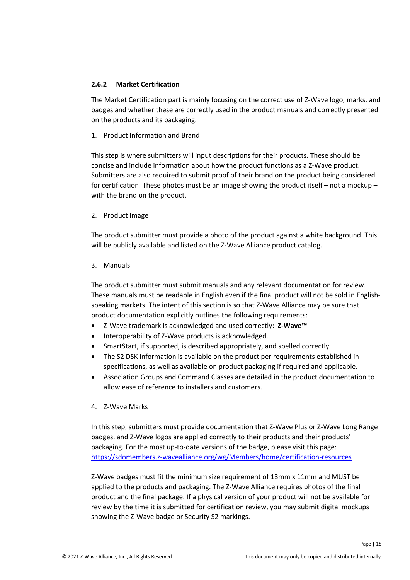### <span id="page-17-0"></span>**2.6.2 Market Certification**

The Market Certification part is mainly focusing on the correct use of Z-Wave logo, marks, and badges and whether these are correctly used in the product manuals and correctly presented on the products and its packaging.

1. Product Information and Brand

This step is where submitters will input descriptions for their products. These should be concise and include information about how the product functions as a Z-Wave product. Submitters are also required to submit proof of their brand on the product being considered for certification. These photos must be an image showing the product itself – not a mockup – with the brand on the product.

2. Product Image

The product submitter must provide a photo of the product against a white background. This will be publicly available and listed on the Z-Wave Alliance product catalog.

3. Manuals

The product submitter must submit manuals and any relevant documentation for review. These manuals must be readable in English even if the final product will not be sold in Englishspeaking markets. The intent of this section is so that Z-Wave Alliance may be sure that product documentation explicitly outlines the following requirements:

- Z-Wave trademark is acknowledged and used correctly: **Z-Wave™**
- Interoperability of Z-Wave products is acknowledged.
- SmartStart, if supported, is described appropriately, and spelled correctly
- The S2 DSK information is available on the product per requirements established in specifications, as well as available on product packaging if required and applicable.
- Association Groups and Command Classes are detailed in the product documentation to allow ease of reference to installers and customers.
- 4. Z-Wave Marks

In this step, submitters must provide documentation that Z-Wave Plus or Z-Wave Long Range badges, and Z-Wave logos are applied correctly to their products and their products' packaging. For the most up-to-date versions of the badge, please visit this page: <https://sdomembers.z-wavealliance.org/wg/Members/home/certification-resources>

Z-Wave badges must fit the minimum size requirement of 13mm x 11mm and MUST be applied to the products and packaging. The Z-Wave Alliance requires photos of the final product and the final package. If a physical version of your product will not be available for review by the time it is submitted for certification review, you may submit digital mockups showing the Z-Wave badge or Security S2 markings.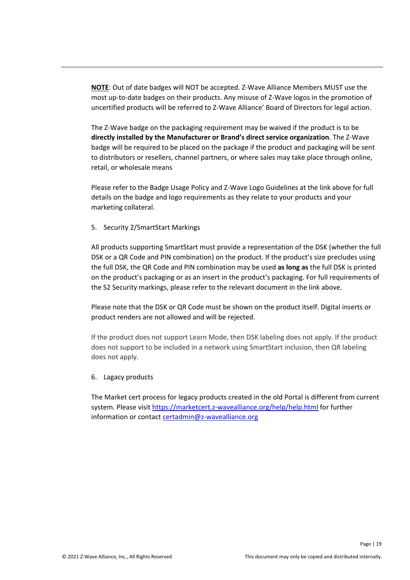**NOTE**: Out of date badges will NOT be accepted. Z-Wave Alliance Members MUST use the most up-to-date badges on their products. Any misuse of Z-Wave logos in the promotion of uncertified products will be referred to Z-Wave Alliance' Board of Directors for legal action.

The Z-Wave badge on the packaging requirement may be waived if the product is to be **directly installed by the Manufacturer or Brand's direct service organization**. The Z-Wave badge will be required to be placed on the package if the product and packaging will be sent to distributors or resellers, channel partners, or where sales may take place through online, retail, or wholesale means

Please refer to the Badge Usage Policy and Z-Wave Logo Guidelines at the link above for full details on the badge and logo requirements as they relate to your products and your marketing collateral.

5. Security 2/SmartStart Markings

All products supporting SmartStart must provide a representation of the DSK (whether the full DSK or a QR Code and PIN combination) on the product. If the product's size precludes using the full DSK, the QR Code and PIN combination may be used **as long as** the full DSK is printed on the product's packaging or as an insert in the product's packaging. For full requirements of the S2 Security markings, please refer to the relevant document in the link above.

Please note that the DSK or QR Code must be shown on the product itself. Digital inserts or product renders are not allowed and will be rejected.

If the product does not support Learn Mode, then DSK labeling does not apply. If the product does not support to be included in a network using SmartStart inclusion, then QR labeling does not apply.

6. Lagacy products

The Market cert process for legacy products created in the old Portal is different from current system. Please visit<https://marketcert.z-wavealliance.org/help/help.html> for further information or contact [certadmin@z-wavealliance.org](mailto:certadmin@z-wavealliance.org)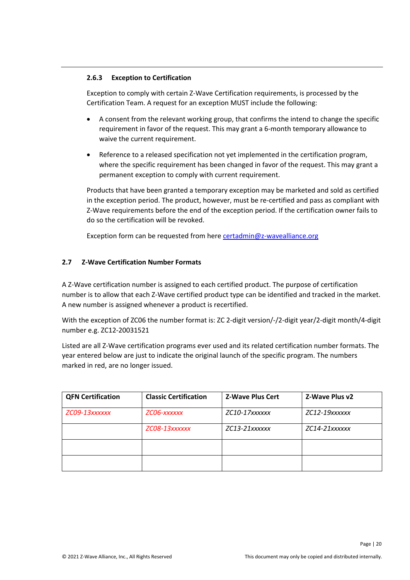### <span id="page-19-0"></span>**2.6.3 Exception to Certification**

Exception to comply with certain Z-Wave Certification requirements, is processed by the Certification Team. A request for an exception MUST include the following:

- A consent from the relevant working group, that confirms the intend to change the specific requirement in favor of the request. This may grant a 6-month temporary allowance to waive the current requirement.
- Reference to a released specification not yet implemented in the certification program, where the specific requirement has been changed in favor of the request. This may grant a permanent exception to comply with current requirement.

Products that have been granted a temporary exception may be marketed and sold as certified in the exception period. The product, however, must be re-certified and pass as compliant with Z-Wave requirements before the end of the exception period. If the certification owner fails to do so the certification will be revoked.

Exception form can be requested from here [certadmin@z-wavealliance.org](mailto:certadmin@z-wavealliance.org)

# <span id="page-19-1"></span>**2.7 Z-Wave Certification Number Formats**

A Z-Wave certification number is assigned to each certified product. The purpose of certification number is to allow that each Z-Wave certified product type can be identified and tracked in the market. A new number is assigned whenever a product is recertified.

With the exception of ZC06 the number format is: ZC 2-digit version/-/2-digit year/2-digit month/4-digit number e.g. ZC12-20031521

Listed are all Z-Wave certification programs ever used and its related certification number formats. The year entered below are just to indicate the original launch of the specific program. The numbers marked in red, are no longer issued.

| <b>QFN Certification</b> | <b>Classic Certification</b> | <b>Z-Wave Plus Cert</b> | Z-Wave Plus v2 |
|--------------------------|------------------------------|-------------------------|----------------|
| ZC09-13xxxxxx            | ZCO6-xxxxxx                  | ZC10-17xxxxxx           | ZC12-19xxxxxx  |
|                          | ZC08-13xxxxxx                | $ZC13-21$ <i>xxxxxx</i> | ZC14-21xxxxxx  |
|                          |                              |                         |                |
|                          |                              |                         |                |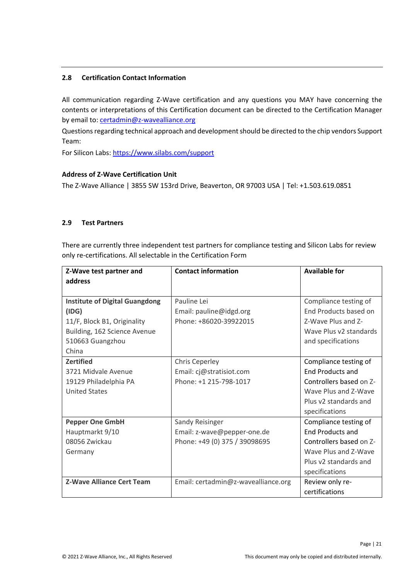# <span id="page-20-0"></span>**2.8 Certification Contact Information**

All communication regarding Z-Wave certification and any questions you MAY have concerning the contents or interpretations of this Certification document can be directed to the Certification Manager by email to: [certadmin@z-wavealliance.org](mailto:certadmin@z-wavealliance.org)

Questions regarding technical approach and development should be directed to the chip vendors Support Team:

For Silicon Labs: <https://www.silabs.com/support>

#### **Address of Z-Wave Certification Unit**

The Z-Wave Alliance | 3855 SW 153rd Drive, Beaverton, OR 97003 USA | Tel: +1.503.619.0851

### <span id="page-20-1"></span>**2.9 Test Partners**

There are currently three independent test partners for compliance testing and Silicon Labs for review only re-certifications. All selectable in the Certification Form

| Z-Wave test partner and               | <b>Contact information</b>          | <b>Available for</b>    |
|---------------------------------------|-------------------------------------|-------------------------|
| address                               |                                     |                         |
|                                       |                                     |                         |
| <b>Institute of Digital Guangdong</b> | Pauline Lei                         | Compliance testing of   |
| (IDS)                                 | Email: pauline@idgd.org             | End Products based on   |
| 11/F, Block B1, Originality           | Phone: +86020-39922015              | Z-Wave Plus and Z-      |
| Building, 162 Science Avenue          |                                     | Wave Plus v2 standards  |
| 510663 Guangzhou                      |                                     | and specifications      |
| China                                 |                                     |                         |
| <b>Zertified</b>                      | <b>Chris Ceperley</b>               | Compliance testing of   |
| 3721 Midvale Avenue                   | Email: cj@stratisiot.com            | <b>End Products and</b> |
| 19129 Philadelphia PA                 | Phone: +1 215-798-1017              | Controllers based on Z- |
| <b>United States</b>                  |                                     | Wave Plus and Z-Wave    |
|                                       |                                     | Plus v2 standards and   |
|                                       |                                     | specifications          |
| <b>Pepper One GmbH</b>                | Sandy Reisinger                     | Compliance testing of   |
| Hauptmarkt 9/10                       | Email: z-wave@pepper-one.de         | <b>End Products and</b> |
| 08056 Zwickau                         | Phone: +49 (0) 375 / 39098695       | Controllers based on Z- |
| Germany                               |                                     | Wave Plus and Z-Wave    |
|                                       |                                     | Plus v2 standards and   |
|                                       |                                     | specifications          |
| <b>Z-Wave Alliance Cert Team</b>      | Email: certadmin@z-wavealliance.org | Review only re-         |
|                                       |                                     | certifications          |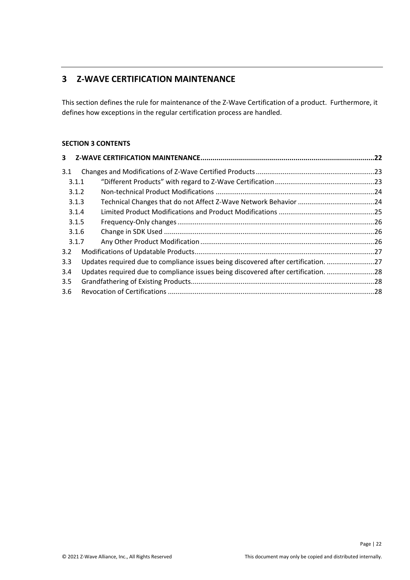# <span id="page-21-0"></span>**3 Z-WAVE CERTIFICATION MAINTENANCE**

This section defines the rule for maintenance of the Z-Wave Certification of a product. Furthermore, it defines how exceptions in the regular certification process are handled.

# **SECTION 3 CONTENTS**

| 3     |                                                                                    |  |
|-------|------------------------------------------------------------------------------------|--|
| 3.1   |                                                                                    |  |
| 3.1.1 |                                                                                    |  |
| 3.1.2 |                                                                                    |  |
| 3.1.3 |                                                                                    |  |
| 3.1.4 |                                                                                    |  |
| 3.1.5 |                                                                                    |  |
| 3.1.6 |                                                                                    |  |
| 3.1.7 |                                                                                    |  |
| 3.2   |                                                                                    |  |
| 3.3   | Updates required due to compliance issues being discovered after certification. 27 |  |
| 3.4   | Updates required due to compliance issues being discovered after certification. 28 |  |
| 3.5   |                                                                                    |  |
| 3.6   |                                                                                    |  |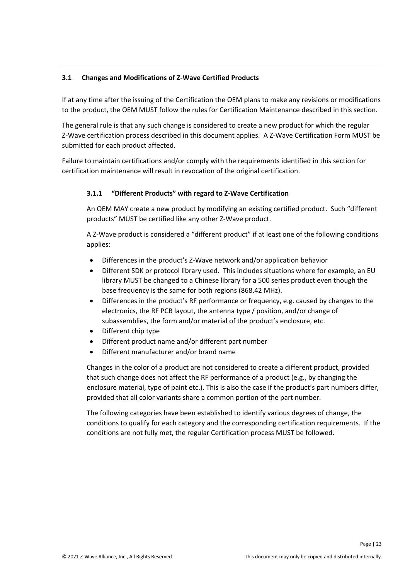# <span id="page-22-0"></span>**3.1 Changes and Modifications of Z-Wave Certified Products**

If at any time after the issuing of the Certification the OEM plans to make any revisions or modifications to the product, the OEM MUST follow the rules for Certification Maintenance described in this section.

The general rule is that any such change is considered to create a new product for which the regular Z-Wave certification process described in this document applies. A Z-Wave Certification Form MUST be submitted for each product affected.

Failure to maintain certifications and/or comply with the requirements identified in this section for certification maintenance will result in revocation of the original certification.

# <span id="page-22-1"></span>**3.1.1 "Different Products" with regard to Z-Wave Certification**

An OEM MAY create a new product by modifying an existing certified product. Such "different products" MUST be certified like any other Z-Wave product.

A Z-Wave product is considered a "different product" if at least one of the following conditions applies:

- Differences in the product's Z-Wave network and/or application behavior
- Different SDK or protocol library used. This includes situations where for example, an EU library MUST be changed to a Chinese library for a 500 series product even though the base frequency is the same for both regions (868.42 MHz).
- Differences in the product's RF performance or frequency, e.g. caused by changes to the electronics, the RF PCB layout, the antenna type / position, and/or change of subassemblies, the form and/or material of the product's enclosure, etc.
- Different chip type
- Different product name and/or different part number
- Different manufacturer and/or brand name

Changes in the color of a product are not considered to create a different product, provided that such change does not affect the RF performance of a product (e.g., by changing the enclosure material, type of paint etc.). This is also the case if the product's part numbers differ, provided that all color variants share a common portion of the part number.

The following categories have been established to identify various degrees of change, the conditions to qualify for each category and the corresponding certification requirements. If the conditions are not fully met, the regular Certification process MUST be followed.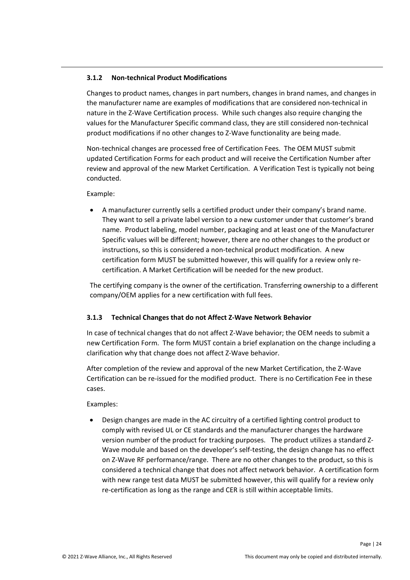# <span id="page-23-0"></span>**3.1.2 Non-technical Product Modifications**

Changes to product names, changes in part numbers, changes in brand names, and changes in the manufacturer name are examples of modifications that are considered non-technical in nature in the Z-Wave Certification process. While such changes also require changing the values for the Manufacturer Specific command class, they are still considered non-technical product modifications if no other changes to Z-Wave functionality are being made.

Non-technical changes are processed free of Certification Fees. The OEM MUST submit updated Certification Forms for each product and will receive the Certification Number after review and approval of the new Market Certification. A Verification Test is typically not being conducted.

Example:

 A manufacturer currently sells a certified product under their company's brand name. They want to sell a private label version to a new customer under that customer's brand name. Product labeling, model number, packaging and at least one of the Manufacturer Specific values will be different; however, there are no other changes to the product or instructions, so this is considered a non-technical product modification. A new certification form MUST be submitted however, this will qualify for a review only recertification. A Market Certification will be needed for the new product.

The certifying company is the owner of the certification. Transferring ownership to a different company/OEM applies for a new certification with full fees.

# <span id="page-23-1"></span>**3.1.3 Technical Changes that do not Affect Z-Wave Network Behavior**

In case of technical changes that do not affect Z-Wave behavior; the OEM needs to submit a new Certification Form. The form MUST contain a brief explanation on the change including a clarification why that change does not affect Z-Wave behavior.

After completion of the review and approval of the new Market Certification, the Z-Wave Certification can be re-issued for the modified product. There is no Certification Fee in these cases.

Examples:

 Design changes are made in the AC circuitry of a certified lighting control product to comply with revised UL or CE standards and the manufacturer changes the hardware version number of the product for tracking purposes. The product utilizes a standard Z-Wave module and based on the developer's self-testing, the design change has no effect on Z-Wave RF performance/range. There are no other changes to the product, so this is considered a technical change that does not affect network behavior. A certification form with new range test data MUST be submitted however, this will qualify for a review only re-certification as long as the range and CER is still within acceptable limits.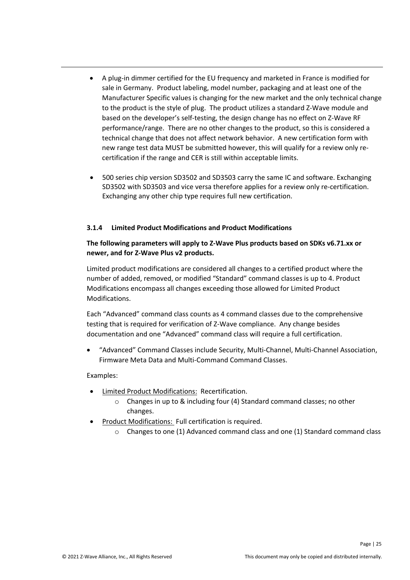- A plug-in dimmer certified for the EU frequency and marketed in France is modified for sale in Germany. Product labeling, model number, packaging and at least one of the Manufacturer Specific values is changing for the new market and the only technical change to the product is the style of plug. The product utilizes a standard Z-Wave module and based on the developer's self-testing, the design change has no effect on Z-Wave RF performance/range. There are no other changes to the product, so this is considered a technical change that does not affect network behavior. A new certification form with new range test data MUST be submitted however, this will qualify for a review only recertification if the range and CER is still within acceptable limits.
- 500 series chip version SD3502 and SD3503 carry the same IC and software. Exchanging SD3502 with SD3503 and vice versa therefore applies for a review only re-certification. Exchanging any other chip type requires full new certification.

#### <span id="page-24-0"></span>**3.1.4 Limited Product Modifications and Product Modifications**

#### **The following parameters will apply to Z-Wave Plus products based on SDKs v6.71.xx or newer, and for Z-Wave Plus v2 products.**

Limited product modifications are considered all changes to a certified product where the number of added, removed, or modified "Standard" command classes is up to 4. Product Modifications encompass all changes exceeding those allowed for Limited Product Modifications.

Each "Advanced" command class counts as 4 command classes due to the comprehensive testing that is required for verification of Z-Wave compliance. Any change besides documentation and one "Advanced" command class will require a full certification.

 "Advanced" Command Classes include Security, Multi-Channel, Multi-Channel Association, Firmware Meta Data and Multi-Command Command Classes.

#### Examples:

- Limited Product Modifications: Recertification.
	- o Changes in up to & including four (4) Standard command classes; no other changes.
- Product Modifications: Full certification is required.
	- $\circ$  Changes to one (1) Advanced command class and one (1) Standard command class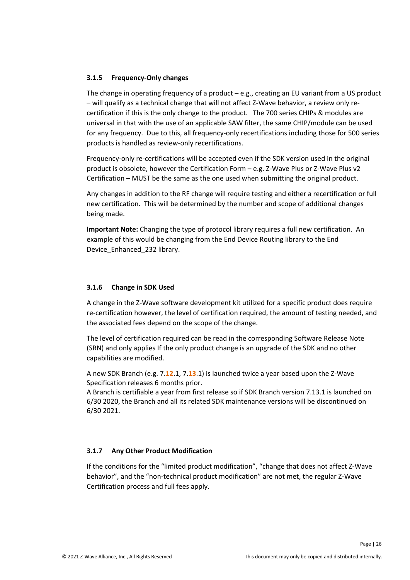### <span id="page-25-0"></span>**3.1.5 Frequency-Only changes**

The change in operating frequency of a product – e.g., creating an EU variant from a US product – will qualify as a technical change that will not affect Z-Wave behavior, a review only recertification if this is the only change to the product. The 700 series CHIPs & modules are universal in that with the use of an applicable SAW filter, the same CHIP/module can be used for any frequency. Due to this, all frequency-only recertifications including those for 500 series products is handled as review-only recertifications.

Frequency-only re-certifications will be accepted even if the SDK version used in the original product is obsolete, however the Certification Form – e.g. Z-Wave Plus or Z-Wave Plus v2 Certification – MUST be the same as the one used when submitting the original product.

Any changes in addition to the RF change will require testing and either a recertification or full new certification. This will be determined by the number and scope of additional changes being made.

**Important Note:** Changing the type of protocol library requires a full new certification. An example of this would be changing from the End Device Routing library to the End Device\_Enhanced\_232 library.

#### <span id="page-25-1"></span>**3.1.6 Change in SDK Used**

A change in the Z-Wave software development kit utilized for a specific product does require re-certification however, the level of certification required, the amount of testing needed, and the associated fees depend on the scope of the change.

The level of certification required can be read in the corresponding Software Release Note (SRN) and only applies If the only product change is an upgrade of the SDK and no other capabilities are modified.

A new SDK Branch (e.g. 7.**12**.1, 7.**13**.1) is launched twice a year based upon the Z-Wave Specification releases 6 months prior.

A Branch is certifiable a year from first release so if SDK Branch version 7.13.1 is launched on 6/30 2020, the Branch and all its related SDK maintenance versions will be discontinued on 6/30 2021.

# <span id="page-25-2"></span>**3.1.7 Any Other Product Modification**

If the conditions for the "limited product modification", "change that does not affect Z-Wave behavior", and the "non-technical product modification" are not met, the regular Z-Wave Certification process and full fees apply.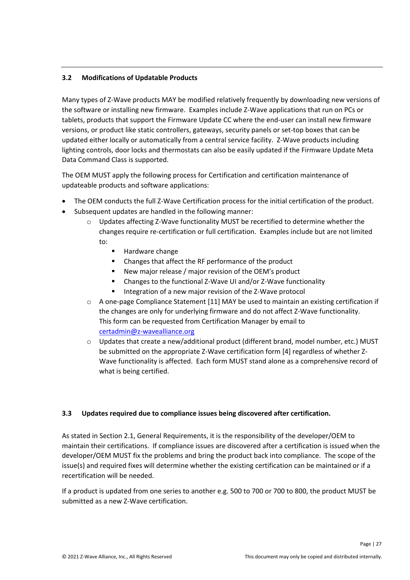# <span id="page-26-0"></span>**3.2 Modifications of Updatable Products**

Many types of Z-Wave products MAY be modified relatively frequently by downloading new versions of the software or installing new firmware. Examples include Z-Wave applications that run on PCs or tablets, products that support the Firmware Update CC where the end-user can install new firmware versions, or product like static controllers, gateways, security panels or set-top boxes that can be updated either locally or automatically from a central service facility. Z-Wave products including lighting controls, door locks and thermostats can also be easily updated if the Firmware Update Meta Data Command Class is supported.

The OEM MUST apply the following process for Certification and certification maintenance of updateable products and software applications:

- The OEM conducts the full Z-Wave Certification process for the initial certification of the product.
- Subsequent updates are handled in the following manner:
	- o Updates affecting Z-Wave functionality MUST be recertified to determine whether the changes require re-certification or full certification. Examples include but are not limited to:
		- Hardware change
		- Changes that affect the RF performance of the product
		- New major release / major revision of the OEM's product
		- Changes to the functional Z-Wave UI and/or Z-Wave functionality
		- **Integration of a new major revision of the Z-Wave protocol**
	- o A one-page Compliance Statement [11] MAY be used to maintain an existing certification if the changes are only for underlying firmware and do not affect Z-Wave functionality. This form can be requested from Certification Manager by email to [certadmin@z-wavealliance.org](mailto:certadmin@z-wavealliance.org)
	- o Updates that create a new/additional product (different brand, model number, etc.) MUST be submitted on the appropriate Z-Wave certification form [4] regardless of whether Z-Wave functionality is affected. Each form MUST stand alone as a comprehensive record of what is being certified.

# <span id="page-26-1"></span>**3.3 Updates required due to compliance issues being discovered after certification.**

As stated in Section 2.1, General Requirements, it is the responsibility of the developer/OEM to maintain their certifications. If compliance issues are discovered after a certification is issued when the developer/OEM MUST fix the problems and bring the product back into compliance. The scope of the issue(s) and required fixes will determine whether the existing certification can be maintained or if a recertification will be needed.

If a product is updated from one series to another e.g. 500 to 700 or 700 to 800, the product MUST be submitted as a new Z-Wave certification.